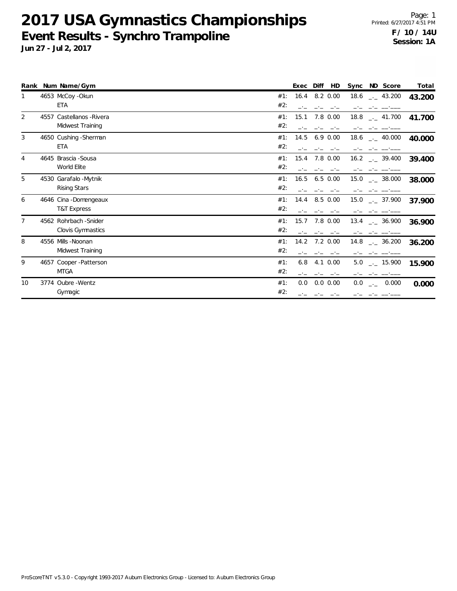|                | Rank Num Name/Gym         |     | Exec | Diff<br>HD    | Sync | ND Score                    | Total  |
|----------------|---------------------------|-----|------|---------------|------|-----------------------------|--------|
|                | 4653 McCoy - Okun         | #1: | 16.4 | 8.2 0.00      |      | 18.6 $_{\leftarrow}$ 43.200 | 43.200 |
|                | <b>ETA</b>                | #2: |      |               |      |                             |        |
| 2              | 4557 Castellanos - Rivera | #1: | 15.1 | 7.8 0.00      | 18.8 | $\frac{1}{2}$ 41.700        | 41.700 |
|                | Midwest Training          | #2: |      |               |      |                             |        |
| 3              | 4650 Cushing - Sherman    | #1: | 14.5 | $6.9$ $0.00$  | 18.6 | $\frac{1}{2}$ 40.000        | 40.000 |
|                | <b>ETA</b>                | #2: |      |               |      |                             |        |
| 4              | 4645 Brascia - Sousa      | #1: | 15.4 | 7.8 0.00      |      | $16.2$ $_{--}$ 39.400       | 39.400 |
|                | World Elite               | #2: |      |               |      |                             |        |
| 5              | 4530 Garafalo - Mytnik    | #1: | 16.5 | $6.5$ $0.00$  | 15.0 | . 38.000                    | 38.000 |
|                | Rising Stars              | #2: |      |               |      |                             |        |
| 6              | 4646 Cina - Domengeaux    | #1: | 14.4 | 8.5 0.00      | 15.0 | $\frac{1}{2}$ 37.900        | 37.900 |
|                | T&T Express               | #2: |      |               |      |                             |        |
| $\overline{7}$ | 4562 Rohrbach - Snider    | #1: | 15.7 | 7.8 0.00      | 13.4 | $-2.36.900$                 | 36.900 |
|                | Clovis Gymnastics         | #2: |      |               |      |                             |        |
| 8              | 4556 Mills - Noonan       | #1: | 14.2 | $7.2 \, 0.00$ |      | $14.8$ __ 36.200            | 36.200 |
|                | Midwest Training          | #2: |      |               |      |                             |        |
| 9              | 4657 Cooper-Patterson     | #1: | 6.8  | 4.1 0.00      | 5.0  | $\frac{1}{2}$ 15.900        | 15.900 |
|                | <b>MTGA</b>               | #2: |      | $-1$          |      |                             |        |
| 10             | 3774 Oubre - Wentz        | #1: | 0.0  | $0.0\ 0.00$   | 0.0  | 0.000<br><b>College</b>     | 0.000  |
|                | Gymagic                   | #2: |      |               |      |                             |        |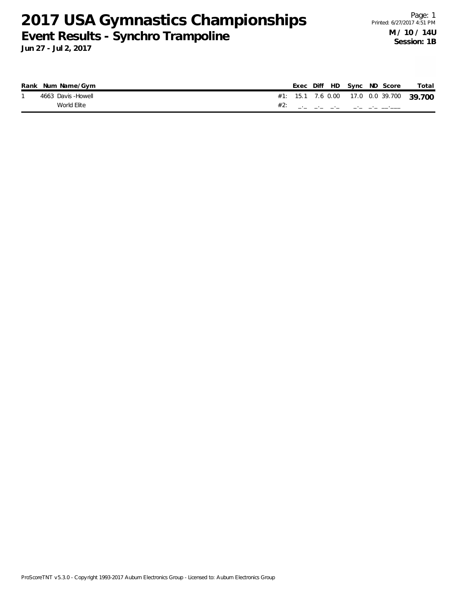|  | Rank Num Name/Gym  |  |  |  | Exec Diff HD Sync ND Score                                               | Total                                    |
|--|--------------------|--|--|--|--------------------------------------------------------------------------|------------------------------------------|
|  | 4663 Davis -Howell |  |  |  |                                                                          | #1: 15.1 7.6 0.00 17.0 0.0 39.700 39.700 |
|  | World Elite        |  |  |  | $\#2:$ and $\#2:$ and $\#2:$ and $\#2:$ and $\#2:$ and $\#2:$ and $\#2:$ |                                          |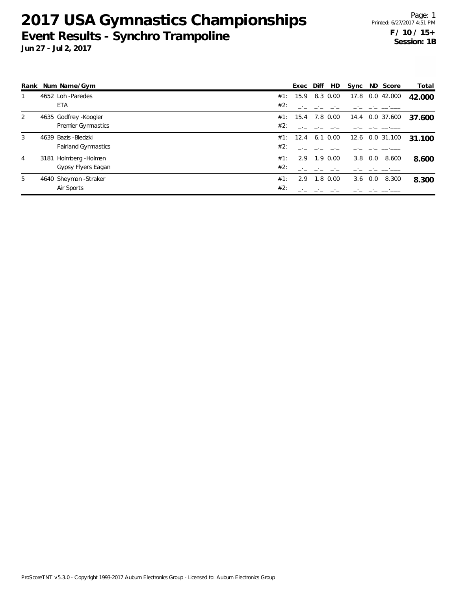|   | Rank Num Name/Gym          |     | Exec Diff | HD           | Sync |                 | ND Score        | Total  |
|---|----------------------------|-----|-----------|--------------|------|-----------------|-----------------|--------|
|   | 4652 Loh -Paredes          | #1: | 15.9      | 8.3 0.00     | 17.8 |                 | 0.0 42.000      | 42.000 |
|   | <b>ETA</b>                 | #2: |           |              |      |                 |                 |        |
| 2 | 4635 Godfrey - Koogler     | #1: | 15.4      | 7.8 0.00     |      |                 | 14.4 0.0 37.600 | 37.600 |
|   | Premier Gymnastics         | #2: |           |              |      |                 |                 |        |
| 3 | 4639 Bazis - Bledzki       | #1: | 12.4      | $6.1 \ 0.00$ |      |                 | 12.6 0.0 31.100 | 31.100 |
|   | <b>Fairland Gymnastics</b> | #2: |           |              |      |                 |                 |        |
| 4 | 3181 Holmberg - Holmen     | #1: | 2.9       | 1.9 0.00     |      | $3.8\quad 0.0$  | 8.600           | 8.600  |
|   | Gypsy Flyers Eagan         | #2: |           |              |      |                 |                 |        |
| 5 | 4640 Sheyman - Straker     | #1: | 2.9       | $1.8 \ 0.00$ |      | $3.6 \quad 0.0$ | 8.300           | 8.300  |
|   | Air Sports                 | #2: |           |              |      |                 |                 |        |
|   |                            |     |           |              |      |                 |                 |        |